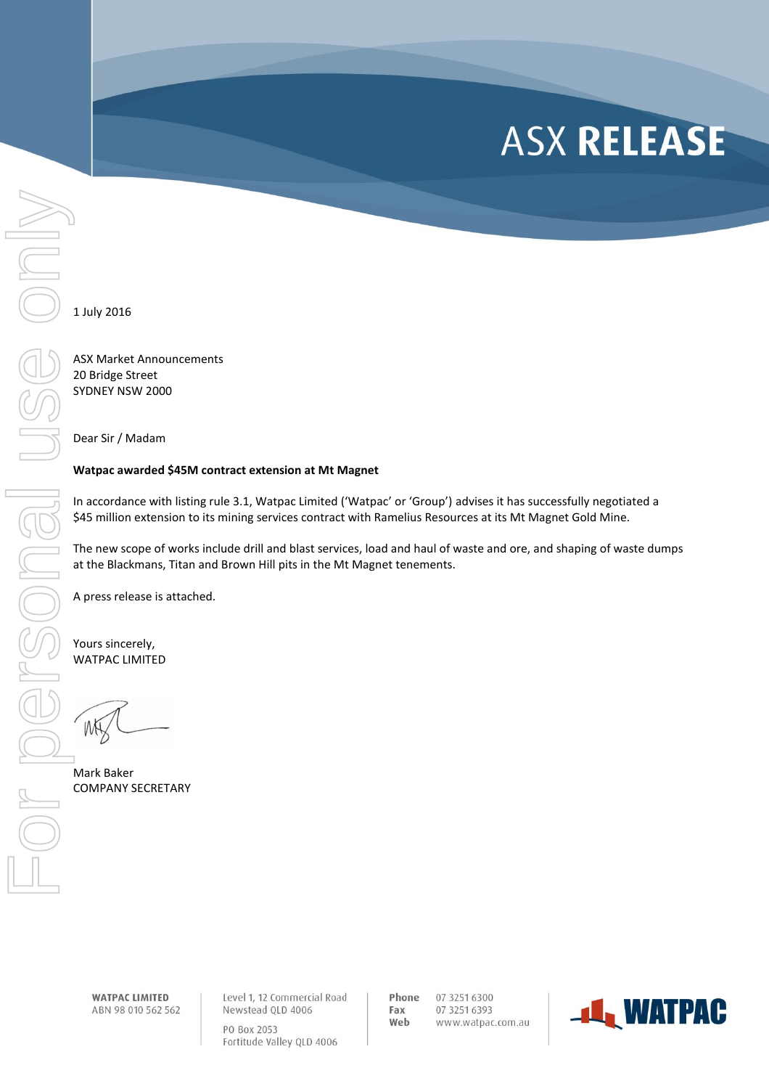## **ASX RELEASE**

1 July 2016

ASX Market Announcements 20 Bridge Street SYDNEY NSW 2000

Dear Sir / Madam

## **Watpac awarded \$45M contract extension at Mt Magnet**

In accordance with listing rule 3.1, Watpac Limited ('Watpac' or 'Group') advises it has successfully negotiated a \$45 million extension to its mining services contract with Ramelius Resources at its Mt Magnet Gold Mine.

The new scope of works include drill and blast services, load and haul of waste and ore, and shaping of waste dumps at the Blackmans, Titan and Brown Hill pits in the Mt Magnet tenements.

A press release is attached.

Yours sincerely, WATPAC LIMITED

Mark Baker

**WATPAC LIMITED** ABN 98 010 562 562 Level 1, 12 Commercial Road Newstead QLD 4006 PO Box 2053 Fortitude Valley QLD 4006

Phone 07 3251 6300 Fax 07 3251 6393 Web www.watpac.com.au